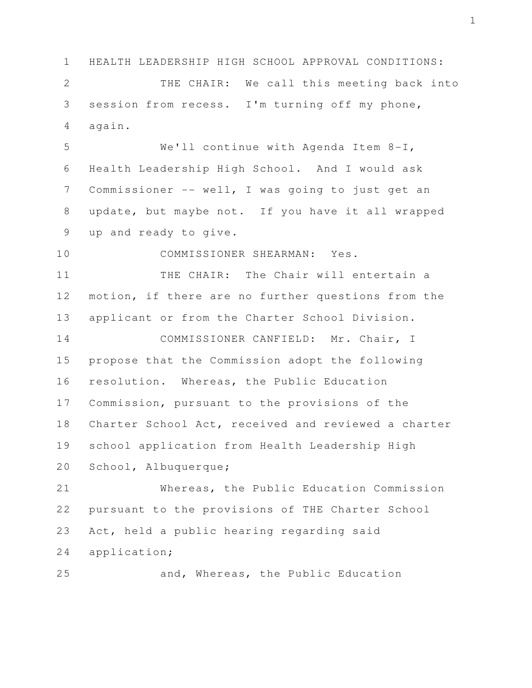1 HEALTH LEADERSHIP HIGH SCHOOL APPROVAL CONDITIONS:

 2 THE CHAIR: We call this meeting back into 3 session from recess. I'm turning off my phone, 4 again.

 5 We'll continue with Agenda Item 8-I, 6 Health Leadership High School. And I would ask 7 Commissioner -- well, I was going to just get an 8 update, but maybe not. If you have it all wrapped 9 up and ready to give.

10 COMMISSIONER SHEARMAN: Yes.

11 THE CHAIR: The Chair will entertain a 12 motion, if there are no further questions from the 13 applicant or from the Charter School Division.

14 COMMISSIONER CANFIELD: Mr. Chair, I 15 propose that the Commission adopt the following 16 resolution. Whereas, the Public Education 17 Commission, pursuant to the provisions of the 18 Charter School Act, received and reviewed a charter 19 school application from Health Leadership High 20 School, Albuquerque;

21 Whereas, the Public Education Commission 22 pursuant to the provisions of THE Charter School 23 Act, held a public hearing regarding said 24 application;

25 and, Whereas, the Public Education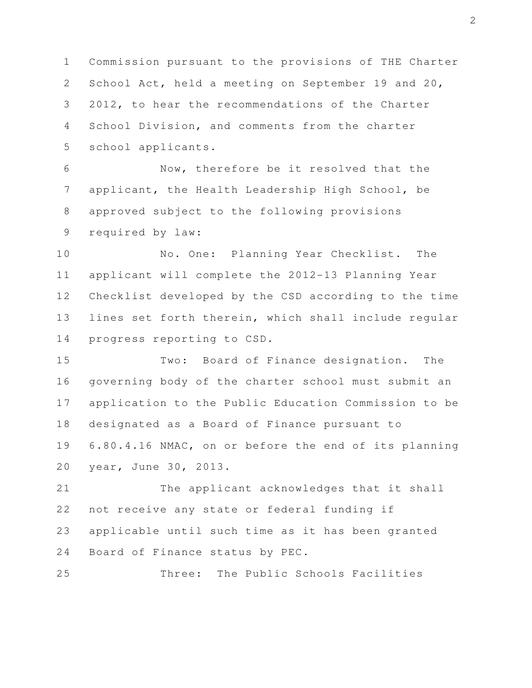1 Commission pursuant to the provisions of THE Charter 2 School Act, held a meeting on September 19 and 20, 3 2012, to hear the recommendations of the Charter 4 School Division, and comments from the charter 5 school applicants.

 6 Now, therefore be it resolved that the 7 applicant, the Health Leadership High School, be 8 approved subject to the following provisions 9 required by law:

10 No. One: Planning Year Checklist. The 11 applicant will complete the 2012-13 Planning Year 12 Checklist developed by the CSD according to the time 13 lines set forth therein, which shall include regular 14 progress reporting to CSD.

15 Two: Board of Finance designation. The 16 governing body of the charter school must submit an 17 application to the Public Education Commission to be 18 designated as a Board of Finance pursuant to 19 6.80.4.16 NMAC, on or before the end of its planning 20 year, June 30, 2013.

21 The applicant acknowledges that it shall 22 not receive any state or federal funding if 23 applicable until such time as it has been granted 24 Board of Finance status by PEC.

25 Three: The Public Schools Facilities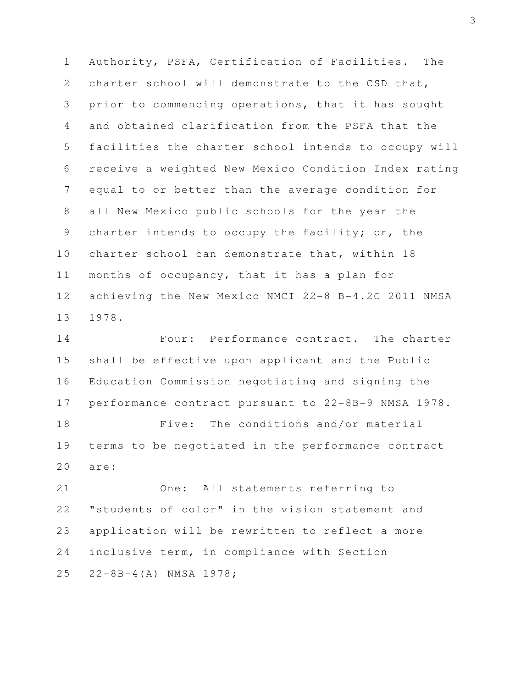1 Authority, PSFA, Certification of Facilities. The 2 charter school will demonstrate to the CSD that, 3 prior to commencing operations, that it has sought 4 and obtained clarification from the PSFA that the 5 facilities the charter school intends to occupy will 6 receive a weighted New Mexico Condition Index rating 7 equal to or better than the average condition for 8 all New Mexico public schools for the year the 9 charter intends to occupy the facility; or, the 10 charter school can demonstrate that, within 18 11 months of occupancy, that it has a plan for 12 achieving the New Mexico NMCI 22-8 B-4.2C 2011 NMSA 13 1978.

14 Four: Performance contract. The charter 15 shall be effective upon applicant and the Public 16 Education Commission negotiating and signing the 17 performance contract pursuant to 22-8B-9 NMSA 1978. 18 Five: The conditions and/or material

19 terms to be negotiated in the performance contract 20 are:

21 One: All statements referring to 22 "students of color" in the vision statement and 23 application will be rewritten to reflect a more 24 inclusive term, in compliance with Section 25 22-8B-4(A) NMSA 1978;

3